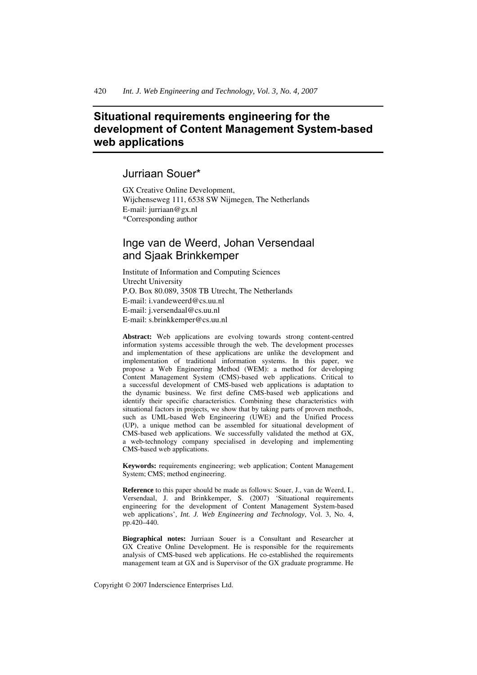# **Situational requirements engineering for the development of Content Management System-based web applications**

# Jurriaan Souer\*

GX Creative Online Development, Wijchenseweg 111, 6538 SW Nijmegen, The Netherlands E-mail: jurriaan@gx.nl \*Corresponding author

# Inge van de Weerd, Johan Versendaal and Sjaak Brinkkemper

Institute of Information and Computing Sciences Utrecht University P.O. Box 80.089, 3508 TB Utrecht, The Netherlands E-mail: i.vandeweerd@cs.uu.nl E-mail: j.versendaal@cs.uu.nl E-mail: s.brinkkemper@cs.uu.nl

**Abstract:** Web applications are evolving towards strong content-centred information systems accessible through the web. The development processes and implementation of these applications are unlike the development and implementation of traditional information systems. In this paper, we propose a Web Engineering Method (WEM): a method for developing Content Management System (CMS)-based web applications. Critical to a successful development of CMS-based web applications is adaptation to the dynamic business. We first define CMS-based web applications and identify their specific characteristics. Combining these characteristics with situational factors in projects, we show that by taking parts of proven methods, such as UML-based Web Engineering (UWE) and the Unified Process (UP), a unique method can be assembled for situational development of CMS-based web applications. We successfully validated the method at GX, a web-technology company specialised in developing and implementing CMS-based web applications.

**Keywords:** requirements engineering; web application; Content Management System; CMS; method engineering.

**Reference** to this paper should be made as follows: Souer, J., van de Weerd, I., Versendaal, J. and Brinkkemper, S. (2007) 'Situational requirements engineering for the development of Content Management System-based web applications', *Int. J. Web Engineering and Technology*, Vol. 3, No. 4, pp.420–440.

**Biographical notes:** Jurriaan Souer is a Consultant and Researcher at GX Creative Online Development. He is responsible for the requirements analysis of CMS-based web applications. He co-established the requirements management team at GX and is Supervisor of the GX graduate programme. He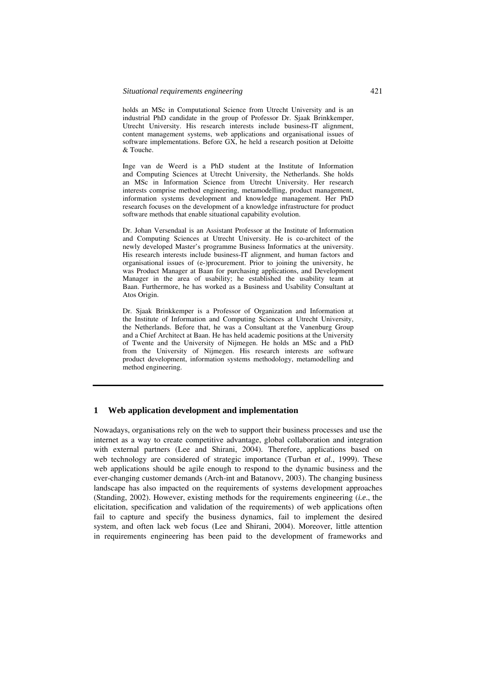holds an MSc in Computational Science from Utrecht University and is an industrial PhD candidate in the group of Professor Dr. Sjaak Brinkkemper, Utrecht University. His research interests include business-IT alignment, content management systems, web applications and organisational issues of software implementations. Before GX, he held a research position at Deloitte & Touche.

Inge van de Weerd is a PhD student at the Institute of Information and Computing Sciences at Utrecht University, the Netherlands. She holds an MSc in Information Science from Utrecht University. Her research interests comprise method engineering, metamodelling, product management, information systems development and knowledge management. Her PhD research focuses on the development of a knowledge infrastructure for product software methods that enable situational capability evolution.

Dr. Johan Versendaal is an Assistant Professor at the Institute of Information and Computing Sciences at Utrecht University. He is co-architect of the newly developed Master's programme Business Informatics at the university. His research interests include business-IT alignment, and human factors and organisational issues of (e-)procurement. Prior to joining the university, he was Product Manager at Baan for purchasing applications, and Development Manager in the area of usability; he established the usability team at Baan. Furthermore, he has worked as a Business and Usability Consultant at Atos Origin.

Dr. Sjaak Brinkkemper is a Professor of Organization and Information at the Institute of Information and Computing Sciences at Utrecht University, the Netherlands. Before that, he was a Consultant at the Vanenburg Group and a Chief Architect at Baan. He has held academic positions at the University of Twente and the University of Nijmegen. He holds an MSc and a PhD from the University of Nijmegen. His research interests are software product development, information systems methodology, metamodelling and method engineering.

# **1 Web application development and implementation**

Nowadays, organisations rely on the web to support their business processes and use the internet as a way to create competitive advantage, global collaboration and integration with external partners (Lee and Shirani, 2004). Therefore, applications based on web technology are considered of strategic importance (Turban *et al.*, 1999). These web applications should be agile enough to respond to the dynamic business and the ever-changing customer demands (Arch-int and Batanovv, 2003). The changing business landscape has also impacted on the requirements of systems development approaches (Standing, 2002). However, existing methods for the requirements engineering (*i.e*., the elicitation, specification and validation of the requirements) of web applications often fail to capture and specify the business dynamics, fail to implement the desired system, and often lack web focus (Lee and Shirani, 2004). Moreover, little attention in requirements engineering has been paid to the development of frameworks and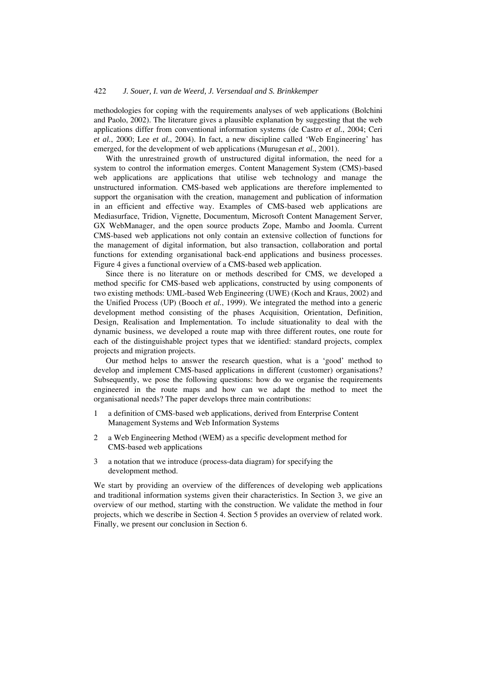methodologies for coping with the requirements analyses of web applications (Bolchini and Paolo, 2002). The literature gives a plausible explanation by suggesting that the web applications differ from conventional information systems (de Castro *et al.*, 2004; Ceri *et al.*, 2000; Lee *et al.*, 2004). In fact, a new discipline called 'Web Engineering' has emerged, for the development of web applications (Murugesan *et al.*, 2001).

With the unrestrained growth of unstructured digital information, the need for a system to control the information emerges. Content Management System (CMS)-based web applications are applications that utilise web technology and manage the unstructured information. CMS-based web applications are therefore implemented to support the organisation with the creation, management and publication of information in an efficient and effective way. Examples of CMS-based web applications are Mediasurface, Tridion, Vignette, Documentum, Microsoft Content Management Server, GX WebManager, and the open source products Zope, Mambo and Joomla. Current CMS-based web applications not only contain an extensive collection of functions for the management of digital information, but also transaction, collaboration and portal functions for extending organisational back-end applications and business processes. Figure 4 gives a functional overview of a CMS-based web application.

Since there is no literature on or methods described for CMS, we developed a method specific for CMS-based web applications, constructed by using components of two existing methods: UML-based Web Engineering (UWE) (Koch and Kraus, 2002) and the Unified Process (UP) (Booch *et al.*, 1999). We integrated the method into a generic development method consisting of the phases Acquisition, Orientation, Definition, Design, Realisation and Implementation. To include situationality to deal with the dynamic business, we developed a route map with three different routes, one route for each of the distinguishable project types that we identified: standard projects, complex projects and migration projects.

Our method helps to answer the research question, what is a 'good' method to develop and implement CMS-based applications in different (customer) organisations? Subsequently, we pose the following questions: how do we organise the requirements engineered in the route maps and how can we adapt the method to meet the organisational needs? The paper develops three main contributions:

- 1 a definition of CMS-based web applications, derived from Enterprise Content Management Systems and Web Information Systems
- 2 a Web Engineering Method (WEM) as a specific development method for CMS-based web applications
- 3 a notation that we introduce (process-data diagram) for specifying the development method.

We start by providing an overview of the differences of developing web applications and traditional information systems given their characteristics. In Section 3, we give an overview of our method, starting with the construction. We validate the method in four projects, which we describe in Section 4. Section 5 provides an overview of related work. Finally, we present our conclusion in Section 6.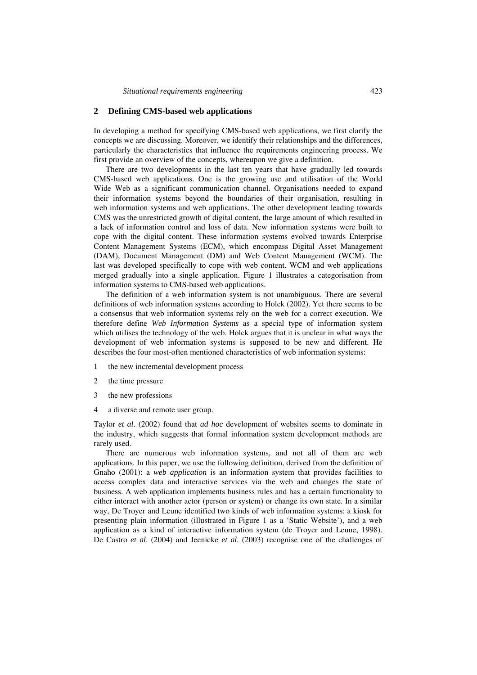*Situational requirements engineering* 423

## **2 Defining CMS-based web applications**

In developing a method for specifying CMS-based web applications, we first clarify the concepts we are discussing. Moreover, we identify their relationships and the differences, particularly the characteristics that influence the requirements engineering process. We first provide an overview of the concepts, whereupon we give a definition.

There are two developments in the last ten years that have gradually led towards CMS-based web applications. One is the growing use and utilisation of the World Wide Web as a significant communication channel. Organisations needed to expand their information systems beyond the boundaries of their organisation, resulting in web information systems and web applications. The other development leading towards CMS was the unrestricted growth of digital content, the large amount of which resulted in a lack of information control and loss of data. New information systems were built to cope with the digital content. These information systems evolved towards Enterprise Content Management Systems (ECM), which encompass Digital Asset Management (DAM), Document Management (DM) and Web Content Management (WCM). The last was developed specifically to cope with web content. WCM and web applications merged gradually into a single application. Figure 1 illustrates a categorisation from information systems to CMS-based web applications.

The definition of a web information system is not unambiguous. There are several definitions of web information systems according to Holck (2002). Yet there seems to be a consensus that web information systems rely on the web for a correct execution. We therefore define *Web Information Systems* as a special type of information system which utilises the technology of the web. Holck argues that it is unclear in what ways the development of web information systems is supposed to be new and different. He describes the four most-often mentioned characteristics of web information systems:

- 1 the new incremental development process
- 2 the time pressure
- 3 the new professions
- 4 a diverse and remote user group.

Taylor *et al*. (2002) found that *ad hoc* development of websites seems to dominate in the industry, which suggests that formal information system development methods are rarely used.

There are numerous web information systems, and not all of them are web applications. In this paper, we use the following definition, derived from the definition of Gnaho (2001): a *web application* is an information system that provides facilities to access complex data and interactive services via the web and changes the state of business. A web application implements business rules and has a certain functionality to either interact with another actor (person or system) or change its own state. In a similar way, De Troyer and Leune identified two kinds of web information systems: a kiosk for presenting plain information (illustrated in Figure 1 as a 'Static Website'), and a web application as a kind of interactive information system (de Troyer and Leune, 1998). De Castro *et al*. (2004) and Jeenicke *et al*. (2003) recognise one of the challenges of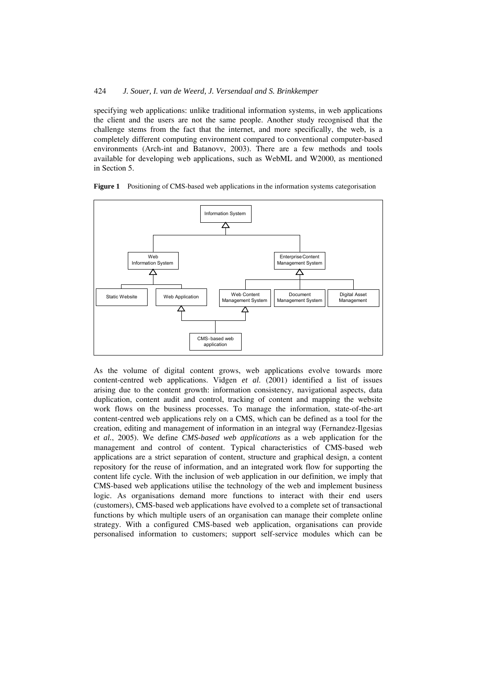specifying web applications: unlike traditional information systems, in web applications the client and the users are not the same people. Another study recognised that the challenge stems from the fact that the internet, and more specifically, the web, is a completely different computing environment compared to conventional computer-based environments (Arch-int and Batanovv, 2003). There are a few methods and tools available for developing web applications, such as WebML and W2000, as mentioned in Section 5.



**Figure 1** Positioning of CMS-based web applications in the information systems categorisation

As the volume of digital content grows, web applications evolve towards more content-centred web applications. Vidgen *et al*. (2001) identified a list of issues arising due to the content growth: information consistency, navigational aspects, data duplication, content audit and control, tracking of content and mapping the website work flows on the business processes. To manage the information, state-of-the-art content-centred web applications rely on a CMS, which can be defined as a tool for the creation, editing and management of information in an integral way (Fernandez-Ilgesias *et al.*, 2005). We define *CMS-based web applications* as a web application for the management and control of content. Typical characteristics of CMS-based web applications are a strict separation of content, structure and graphical design, a content repository for the reuse of information, and an integrated work flow for supporting the content life cycle. With the inclusion of web application in our definition, we imply that CMS-based web applications utilise the technology of the web and implement business logic. As organisations demand more functions to interact with their end users (customers), CMS-based web applications have evolved to a complete set of transactional functions by which multiple users of an organisation can manage their complete online strategy. With a configured CMS-based web application, organisations can provide personalised information to customers; support self-service modules which can be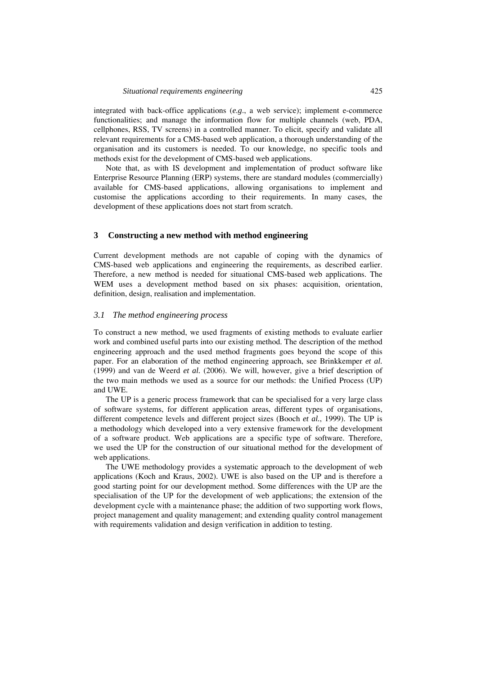integrated with back-office applications (*e.g*., a web service); implement e-commerce functionalities; and manage the information flow for multiple channels (web, PDA, cellphones, RSS, TV screens) in a controlled manner. To elicit, specify and validate all relevant requirements for a CMS-based web application, a thorough understanding of the organisation and its customers is needed. To our knowledge, no specific tools and methods exist for the development of CMS-based web applications.

Note that, as with IS development and implementation of product software like Enterprise Resource Planning (ERP) systems, there are standard modules (commercially) available for CMS-based applications, allowing organisations to implement and customise the applications according to their requirements. In many cases, the development of these applications does not start from scratch.

#### **3 Constructing a new method with method engineering**

Current development methods are not capable of coping with the dynamics of CMS-based web applications and engineering the requirements, as described earlier. Therefore, a new method is needed for situational CMS-based web applications. The WEM uses a development method based on six phases: acquisition, orientation, definition, design, realisation and implementation.

## *3.1 The method engineering process*

To construct a new method, we used fragments of existing methods to evaluate earlier work and combined useful parts into our existing method. The description of the method engineering approach and the used method fragments goes beyond the scope of this paper. For an elaboration of the method engineering approach, see Brinkkemper *et al.* (1999) and van de Weerd *et al.* (2006). We will, however, give a brief description of the two main methods we used as a source for our methods: the Unified Process (UP) and UWE.

The UP is a generic process framework that can be specialised for a very large class of software systems, for different application areas, different types of organisations, different competence levels and different project sizes (Booch *et al.*, 1999). The UP is a methodology which developed into a very extensive framework for the development of a software product. Web applications are a specific type of software. Therefore, we used the UP for the construction of our situational method for the development of web applications.

The UWE methodology provides a systematic approach to the development of web applications (Koch and Kraus, 2002). UWE is also based on the UP and is therefore a good starting point for our development method. Some differences with the UP are the specialisation of the UP for the development of web applications; the extension of the development cycle with a maintenance phase; the addition of two supporting work flows, project management and quality management; and extending quality control management with requirements validation and design verification in addition to testing.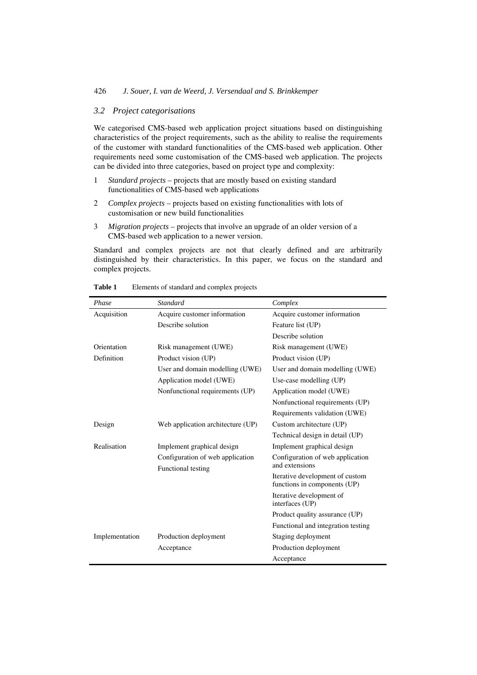# *3.2 Project categorisations*

We categorised CMS-based web application project situations based on distinguishing characteristics of the project requirements, such as the ability to realise the requirements of the customer with standard functionalities of the CMS-based web application. Other requirements need some customisation of the CMS-based web application. The projects can be divided into three categories, based on project type and complexity:

- 1 *Standard projects* projects that are mostly based on existing standard functionalities of CMS-based web applications
- 2 *Complex projects* projects based on existing functionalities with lots of customisation or new build functionalities
- 3 *Migration projects* projects that involve an upgrade of an older version of a CMS-based web application to a newer version.

Standard and complex projects are not that clearly defined and are arbitrarily distinguished by their characteristics. In this paper, we focus on the standard and complex projects.

| Phase          | <b>Standard</b>                                        | Complex                                                         |  |
|----------------|--------------------------------------------------------|-----------------------------------------------------------------|--|
| Acquisition    | Acquire customer information                           | Acquire customer information                                    |  |
|                | Describe solution                                      | Feature list (UP)                                               |  |
|                |                                                        | Describe solution                                               |  |
| Orientation    | Risk management (UWE)                                  | Risk management (UWE)                                           |  |
| Definition     | Product vision (UP)                                    | Product vision (UP)                                             |  |
|                | User and domain modelling (UWE)                        | User and domain modelling (UWE)                                 |  |
|                | Application model (UWE)                                | Use-case modelling (UP)                                         |  |
|                | Nonfunctional requirements (UP)                        | Application model (UWE)                                         |  |
|                |                                                        | Nonfunctional requirements (UP)                                 |  |
|                |                                                        | Requirements validation (UWE)                                   |  |
| Design         | Web application architecture (UP)                      | Custom architecture (UP)                                        |  |
|                |                                                        | Technical design in detail (UP)                                 |  |
| Realisation    | Implement graphical design                             | Implement graphical design                                      |  |
|                | Configuration of web application<br>Functional testing | Configuration of web application<br>and extensions              |  |
|                |                                                        | Iterative development of custom<br>functions in components (UP) |  |
|                |                                                        | Iterative development of<br>interfaces (UP)                     |  |
|                |                                                        | Product quality assurance (UP)                                  |  |
|                |                                                        | Functional and integration testing                              |  |
| Implementation | Staging deployment<br>Production deployment            |                                                                 |  |
|                | Acceptance                                             | Production deployment                                           |  |
|                |                                                        | Acceptance                                                      |  |

Table 1 Elements of standard and complex projects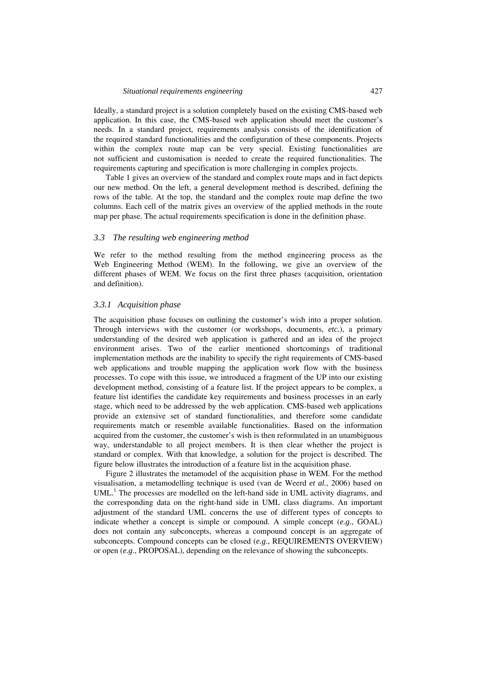Ideally, a standard project is a solution completely based on the existing CMS-based web application. In this case, the CMS-based web application should meet the customer's needs. In a standard project, requirements analysis consists of the identification of the required standard functionalities and the configuration of these components. Projects within the complex route map can be very special. Existing functionalities are not sufficient and customisation is needed to create the required functionalities. The requirements capturing and specification is more challenging in complex projects.

Table 1 gives an overview of the standard and complex route maps and in fact depicts our new method. On the left, a general development method is described, defining the rows of the table. At the top, the standard and the complex route map define the two columns. Each cell of the matrix gives an overview of the applied methods in the route map per phase. The actual requirements specification is done in the definition phase.

#### *3.3 The resulting web engineering method*

We refer to the method resulting from the method engineering process as the Web Engineering Method (WEM). In the following, we give an overview of the different phases of WEM. We focus on the first three phases (acquisition, orientation and definition).

## *3.3.1 Acquisition phase*

The acquisition phase focuses on outlining the customer's wish into a proper solution. Through interviews with the customer (or workshops, documents, *etc.*), a primary understanding of the desired web application is gathered and an idea of the project environment arises. Two of the earlier mentioned shortcomings of traditional implementation methods are the inability to specify the right requirements of CMS-based web applications and trouble mapping the application work flow with the business processes. To cope with this issue, we introduced a fragment of the UP into our existing development method, consisting of a feature list. If the project appears to be complex, a feature list identifies the candidate key requirements and business processes in an early stage, which need to be addressed by the web application. CMS-based web applications provide an extensive set of standard functionalities, and therefore some candidate requirements match or resemble available functionalities. Based on the information acquired from the customer, the customer's wish is then reformulated in an unambiguous way, understandable to all project members. It is then clear whether the project is standard or complex. With that knowledge, a solution for the project is described. The figure below illustrates the introduction of a feature list in the acquisition phase.

Figure 2 illustrates the metamodel of the acquisition phase in WEM. For the method visualisation, a metamodelling technique is used (van de Weerd *et al.*, 2006) based on  $UML<sup>1</sup>$ . The processes are modelled on the left-hand side in UML activity diagrams, and the corresponding data on the right-hand side in UML class diagrams. An important adjustment of the standard UML concerns the use of different types of concepts to indicate whether a concept is simple or compound. A simple concept (*e.g*., GOAL) does not contain any subconcepts, whereas a compound concept is an aggregate of subconcepts. Compound concepts can be closed (*e.g*., REQUIREMENTS OVERVIEW) or open (*e.g*., PROPOSAL), depending on the relevance of showing the subconcepts.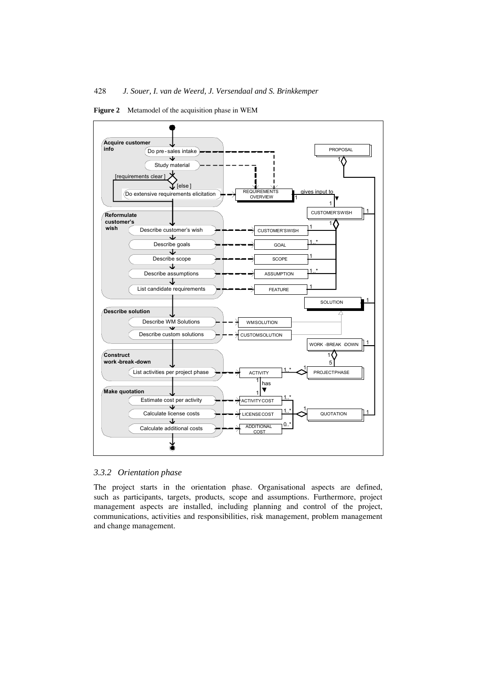

**Figure 2** Metamodel of the acquisition phase in WEM

## *3.3.2 Orientation phase*

The project starts in the orientation phase. Organisational aspects are defined, such as participants, targets, products, scope and assumptions. Furthermore, project management aspects are installed, including planning and control of the project, communications, activities and responsibilities, risk management, problem management and change management.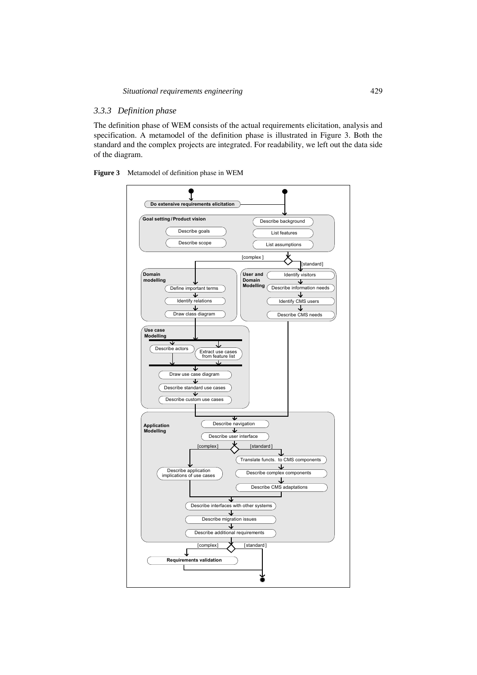# *3.3.3 Definition phase*

The definition phase of WEM consists of the actual requirements elicitation, analysis and specification. A metamodel of the definition phase is illustrated in Figure 3. Both the standard and the complex projects are integrated. For readability, we left out the data side of the diagram.

**Figure 3** Metamodel of definition phase in WEM

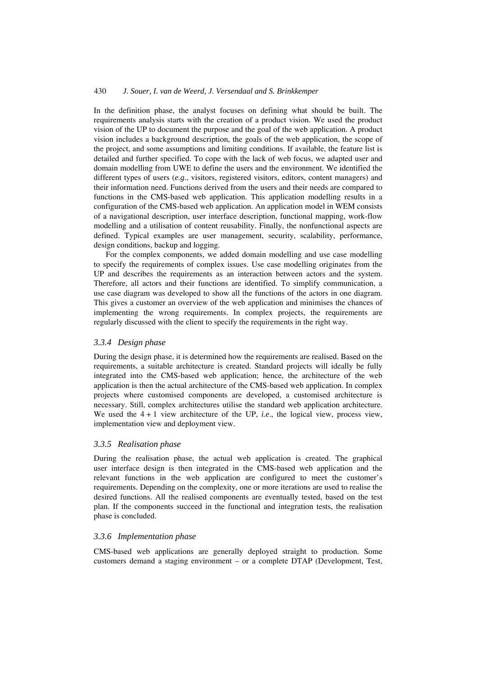In the definition phase, the analyst focuses on defining what should be built. The requirements analysis starts with the creation of a product vision. We used the product vision of the UP to document the purpose and the goal of the web application. A product vision includes a background description, the goals of the web application, the scope of the project, and some assumptions and limiting conditions. If available, the feature list is detailed and further specified. To cope with the lack of web focus, we adapted user and domain modelling from UWE to define the users and the environment. We identified the different types of users (*e.g*., visitors, registered visitors, editors, content managers) and their information need. Functions derived from the users and their needs are compared to functions in the CMS-based web application. This application modelling results in a configuration of the CMS-based web application. An application model in WEM consists of a navigational description, user interface description, functional mapping, work-flow modelling and a utilisation of content reusability. Finally, the nonfunctional aspects are defined. Typical examples are user management, security, scalability, performance, design conditions, backup and logging.

For the complex components, we added domain modelling and use case modelling to specify the requirements of complex issues. Use case modelling originates from the UP and describes the requirements as an interaction between actors and the system. Therefore, all actors and their functions are identified. To simplify communication, a use case diagram was developed to show all the functions of the actors in one diagram. This gives a customer an overview of the web application and minimises the chances of implementing the wrong requirements. In complex projects, the requirements are regularly discussed with the client to specify the requirements in the right way.

#### *3.3.4 Design phase*

During the design phase, it is determined how the requirements are realised. Based on the requirements, a suitable architecture is created. Standard projects will ideally be fully integrated into the CMS-based web application; hence, the architecture of the web application is then the actual architecture of the CMS-based web application. In complex projects where customised components are developed, a customised architecture is necessary. Still, complex architectures utilise the standard web application architecture. We used the  $4 + 1$  view architecture of the UP, *i.e.*, the logical view, process view, implementation view and deployment view.

## *3.3.5 Realisation phase*

During the realisation phase, the actual web application is created. The graphical user interface design is then integrated in the CMS-based web application and the relevant functions in the web application are configured to meet the customer's requirements. Depending on the complexity, one or more iterations are used to realise the desired functions. All the realised components are eventually tested, based on the test plan. If the components succeed in the functional and integration tests, the realisation phase is concluded.

#### *3.3.6 Implementation phase*

CMS-based web applications are generally deployed straight to production. Some customers demand a staging environment – or a complete DTAP (Development, Test,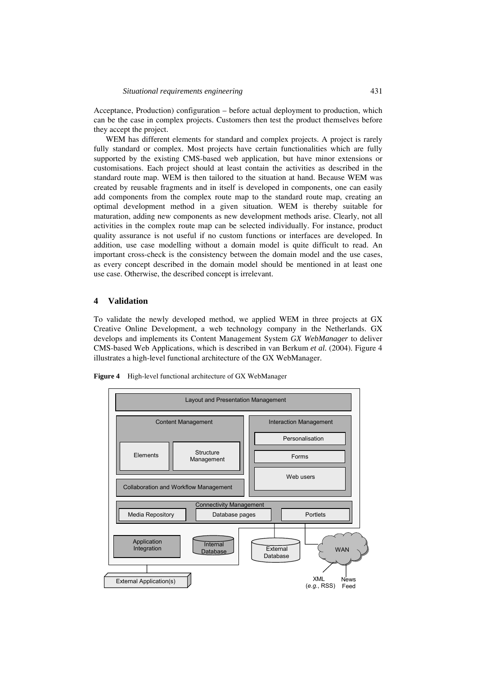Acceptance, Production) configuration – before actual deployment to production, which can be the case in complex projects. Customers then test the product themselves before they accept the project.

WEM has different elements for standard and complex projects. A project is rarely fully standard or complex. Most projects have certain functionalities which are fully supported by the existing CMS-based web application, but have minor extensions or customisations. Each project should at least contain the activities as described in the standard route map. WEM is then tailored to the situation at hand. Because WEM was created by reusable fragments and in itself is developed in components, one can easily add components from the complex route map to the standard route map, creating an optimal development method in a given situation. WEM is thereby suitable for maturation, adding new components as new development methods arise. Clearly, not all activities in the complex route map can be selected individually. For instance, product quality assurance is not useful if no custom functions or interfaces are developed. In addition, use case modelling without a domain model is quite difficult to read. An important cross-check is the consistency between the domain model and the use cases, as every concept described in the domain model should be mentioned in at least one use case. Otherwise, the described concept is irrelevant.

## **4 Validation**

To validate the newly developed method, we applied WEM in three projects at GX Creative Online Development, a web technology company in the Netherlands. GX develops and implements its Content Management System *GX WebManager* to deliver CMS-based Web Applications, which is described in van Berkum *et al.* (2004). Figure 4 illustrates a high-level functional architecture of the GX WebManager.



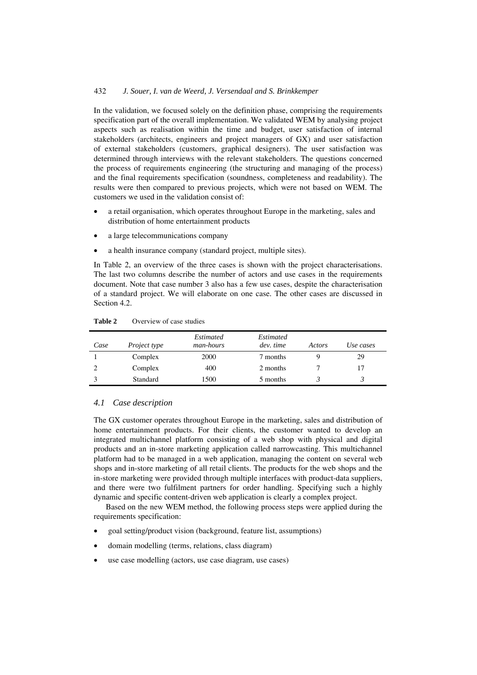In the validation, we focused solely on the definition phase, comprising the requirements specification part of the overall implementation. We validated WEM by analysing project aspects such as realisation within the time and budget, user satisfaction of internal stakeholders (architects, engineers and project managers of GX) and user satisfaction of external stakeholders (customers, graphical designers). The user satisfaction was determined through interviews with the relevant stakeholders. The questions concerned the process of requirements engineering (the structuring and managing of the process) and the final requirements specification (soundness, completeness and readability). The results were then compared to previous projects, which were not based on WEM. The customers we used in the validation consist of:

- a retail organisation, which operates throughout Europe in the marketing, sales and distribution of home entertainment products
- a large telecommunications company
- a health insurance company (standard project, multiple sites).

In Table 2, an overview of the three cases is shown with the project characterisations. The last two columns describe the number of actors and use cases in the requirements document. Note that case number 3 also has a few use cases, despite the characterisation of a standard project. We will elaborate on one case. The other cases are discussed in Section 4.2.

| Case | Project type | Estimated<br><i>man-hours</i> | Estimated<br>dev. time | Actors | Use cases |
|------|--------------|-------------------------------|------------------------|--------|-----------|
|      | Complex      | 2000                          | 7 months               | Q)     | 29        |
|      | Complex      | 400                           | 2 months               |        |           |
|      | Standard     | 1500                          | 5 months               |        |           |

**Table 2** Overview of case studies

## *4.1 Case description*

The GX customer operates throughout Europe in the marketing, sales and distribution of home entertainment products. For their clients, the customer wanted to develop an integrated multichannel platform consisting of a web shop with physical and digital products and an in-store marketing application called narrowcasting. This multichannel platform had to be managed in a web application, managing the content on several web shops and in-store marketing of all retail clients. The products for the web shops and the in-store marketing were provided through multiple interfaces with product-data suppliers, and there were two fulfilment partners for order handling. Specifying such a highly dynamic and specific content-driven web application is clearly a complex project.

Based on the new WEM method, the following process steps were applied during the requirements specification:

- goal setting/product vision (background, feature list, assumptions)
- domain modelling (terms, relations, class diagram)
- use case modelling (actors, use case diagram, use cases)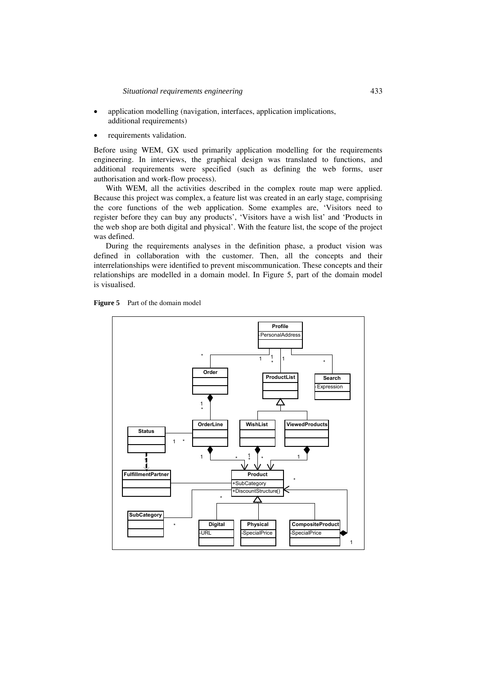- application modelling (navigation, interfaces, application implications, additional requirements)
- requirements validation.

Before using WEM, GX used primarily application modelling for the requirements engineering. In interviews, the graphical design was translated to functions, and additional requirements were specified (such as defining the web forms, user authorisation and work-flow process).

With WEM, all the activities described in the complex route map were applied. Because this project was complex, a feature list was created in an early stage, comprising the core functions of the web application. Some examples are, 'Visitors need to register before they can buy any products', 'Visitors have a wish list' and 'Products in the web shop are both digital and physical'. With the feature list, the scope of the project was defined.

During the requirements analyses in the definition phase, a product vision was defined in collaboration with the customer. Then, all the concepts and their interrelationships were identified to prevent miscommunication. These concepts and their relationships are modelled in a domain model. In Figure 5, part of the domain model is visualised.



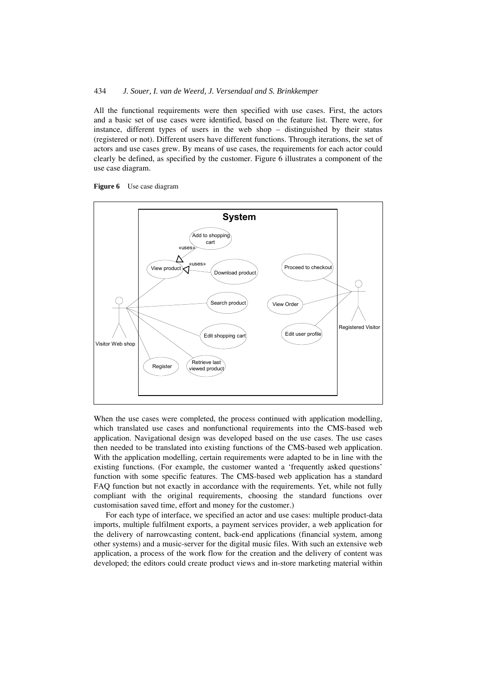All the functional requirements were then specified with use cases. First, the actors and a basic set of use cases were identified, based on the feature list. There were, for instance, different types of users in the web shop – distinguished by their status (registered or not). Different users have different functions. Through iterations, the set of actors and use cases grew. By means of use cases, the requirements for each actor could clearly be defined, as specified by the customer. Figure 6 illustrates a component of the use case diagram.





When the use cases were completed, the process continued with application modelling, which translated use cases and nonfunctional requirements into the CMS-based web application. Navigational design was developed based on the use cases. The use cases then needed to be translated into existing functions of the CMS-based web application. With the application modelling, certain requirements were adapted to be in line with the existing functions. (For example, the customer wanted a 'frequently asked questions' function with some specific features. The CMS-based web application has a standard FAQ function but not exactly in accordance with the requirements. Yet, while not fully compliant with the original requirements, choosing the standard functions over customisation saved time, effort and money for the customer.)

For each type of interface, we specified an actor and use cases: multiple product-data imports, multiple fulfilment exports, a payment services provider, a web application for the delivery of narrowcasting content, back-end applications (financial system, among other systems) and a music-server for the digital music files. With such an extensive web application, a process of the work flow for the creation and the delivery of content was developed; the editors could create product views and in-store marketing material within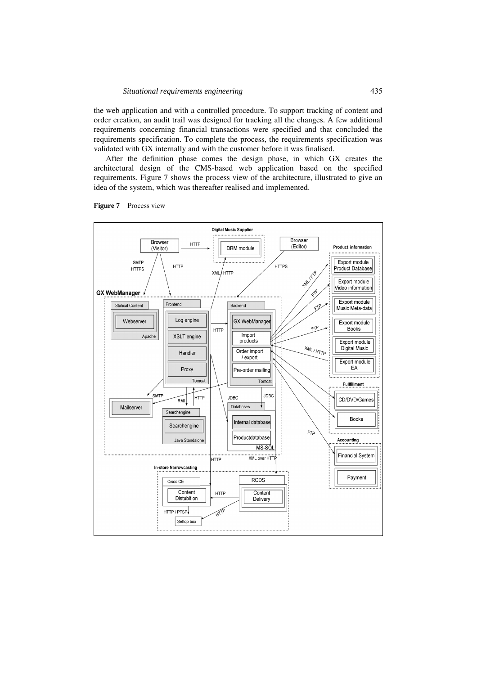the web application and with a controlled procedure. To support tracking of content and order creation, an audit trail was designed for tracking all the changes. A few additional requirements concerning financial transactions were specified and that concluded the requirements specification. To complete the process, the requirements specification was validated with GX internally and with the customer before it was finalised.

After the definition phase comes the design phase, in which GX creates the architectural design of the CMS-based web application based on the specified requirements. Figure 7 shows the process view of the architecture, illustrated to give an idea of the system, which was thereafter realised and implemented.



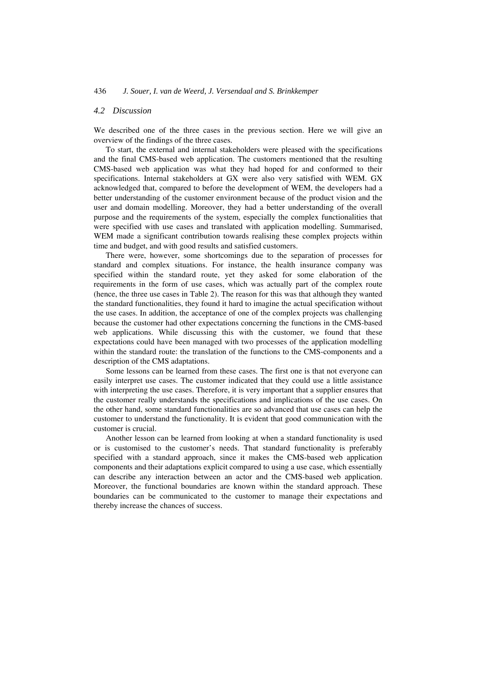## *4.2 Discussion*

We described one of the three cases in the previous section. Here we will give an overview of the findings of the three cases.

To start, the external and internal stakeholders were pleased with the specifications and the final CMS-based web application. The customers mentioned that the resulting CMS-based web application was what they had hoped for and conformed to their specifications. Internal stakeholders at GX were also very satisfied with WEM. GX acknowledged that, compared to before the development of WEM, the developers had a better understanding of the customer environment because of the product vision and the user and domain modelling. Moreover, they had a better understanding of the overall purpose and the requirements of the system, especially the complex functionalities that were specified with use cases and translated with application modelling. Summarised, WEM made a significant contribution towards realising these complex projects within time and budget, and with good results and satisfied customers.

There were, however, some shortcomings due to the separation of processes for standard and complex situations. For instance, the health insurance company was specified within the standard route, yet they asked for some elaboration of the requirements in the form of use cases, which was actually part of the complex route (hence, the three use cases in Table 2). The reason for this was that although they wanted the standard functionalities, they found it hard to imagine the actual specification without the use cases. In addition, the acceptance of one of the complex projects was challenging because the customer had other expectations concerning the functions in the CMS-based web applications. While discussing this with the customer, we found that these expectations could have been managed with two processes of the application modelling within the standard route: the translation of the functions to the CMS-components and a description of the CMS adaptations.

Some lessons can be learned from these cases. The first one is that not everyone can easily interpret use cases. The customer indicated that they could use a little assistance with interpreting the use cases. Therefore, it is very important that a supplier ensures that the customer really understands the specifications and implications of the use cases. On the other hand, some standard functionalities are so advanced that use cases can help the customer to understand the functionality. It is evident that good communication with the customer is crucial.

Another lesson can be learned from looking at when a standard functionality is used or is customised to the customer's needs. That standard functionality is preferably specified with a standard approach, since it makes the CMS-based web application components and their adaptations explicit compared to using a use case, which essentially can describe any interaction between an actor and the CMS-based web application. Moreover, the functional boundaries are known within the standard approach. These boundaries can be communicated to the customer to manage their expectations and thereby increase the chances of success.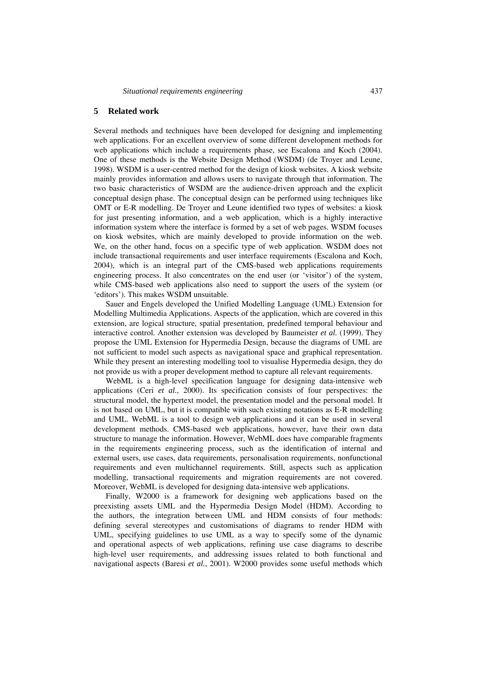## **5 Related work**

Several methods and techniques have been developed for designing and implementing web applications. For an excellent overview of some different development methods for web applications which include a requirements phase, see Escalona and Koch (2004). One of these methods is the Website Design Method (WSDM) (de Troyer and Leune, 1998). WSDM is a user-centred method for the design of kiosk websites. A kiosk website mainly provides information and allows users to navigate through that information. The two basic characteristics of WSDM are the audience-driven approach and the explicit conceptual design phase. The conceptual design can be performed using techniques like OMT or E-R modelling. De Troyer and Leune identified two types of websites: a kiosk for just presenting information, and a web application, which is a highly interactive information system where the interface is formed by a set of web pages. WSDM focuses on kiosk websites, which are mainly developed to provide information on the web. We, on the other hand, focus on a specific type of web application. WSDM does not include transactional requirements and user interface requirements (Escalona and Koch, 2004), which is an integral part of the CMS-based web applications requirements engineering process. It also concentrates on the end user (or 'visitor') of the system, while CMS-based web applications also need to support the users of the system (or 'editors'). This makes WSDM unsuitable.

Sauer and Engels developed the Unified Modelling Language (UML) Extension for Modelling Multimedia Applications. Aspects of the application, which are covered in this extension, are logical structure, spatial presentation, predefined temporal behaviour and interactive control. Another extension was developed by Baumeister *et al.* (1999). They propose the UML Extension for Hypermedia Design, because the diagrams of UML are not sufficient to model such aspects as navigational space and graphical representation. While they present an interesting modelling tool to visualise Hypermedia design, they do not provide us with a proper development method to capture all relevant requirements.

WebML is a high-level specification language for designing data-intensive web applications (Ceri *et al.*, 2000). Its specification consists of four perspectives: the structural model, the hypertext model, the presentation model and the personal model. It is not based on UML, but it is compatible with such existing notations as E-R modelling and UML. WebML is a tool to design web applications and it can be used in several development methods. CMS-based web applications, however, have their own data structure to manage the information. However, WebML does have comparable fragments in the requirements engineering process, such as the identification of internal and external users, use cases, data requirements, personalisation requirements, nonfunctional requirements and even multichannel requirements. Still, aspects such as application modelling, transactional requirements and migration requirements are not covered. Moreover, WebML is developed for designing data-intensive web applications.

Finally, W2000 is a framework for designing web applications based on the preexisting assets UML and the Hypermedia Design Model (HDM). According to the authors, the integration between UML and HDM consists of four methods: defining several stereotypes and customisations of diagrams to render HDM with UML, specifying guidelines to use UML as a way to specify some of the dynamic and operational aspects of web applications, refining use case diagrams to describe high-level user requirements, and addressing issues related to both functional and navigational aspects (Baresi *et al.*, 2001). W2000 provides some useful methods which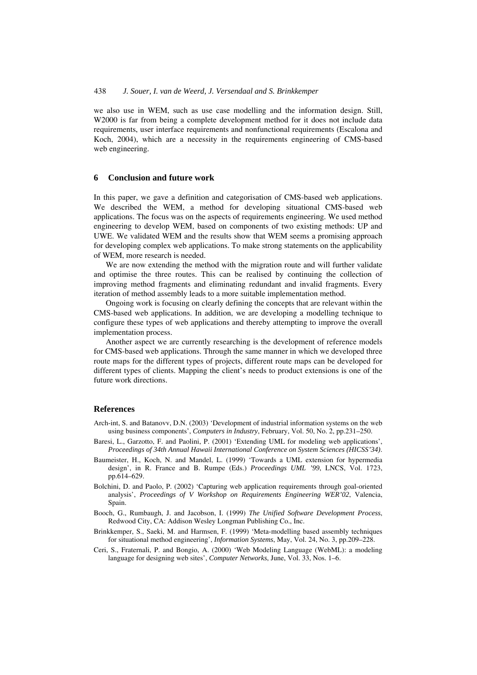we also use in WEM, such as use case modelling and the information design. Still, W2000 is far from being a complete development method for it does not include data requirements, user interface requirements and nonfunctional requirements (Escalona and Koch, 2004), which are a necessity in the requirements engineering of CMS-based web engineering.

## **6 Conclusion and future work**

In this paper, we gave a definition and categorisation of CMS-based web applications. We described the WEM, a method for developing situational CMS-based web applications. The focus was on the aspects of requirements engineering. We used method engineering to develop WEM, based on components of two existing methods: UP and UWE. We validated WEM and the results show that WEM seems a promising approach for developing complex web applications. To make strong statements on the applicability of WEM, more research is needed.

We are now extending the method with the migration route and will further validate and optimise the three routes. This can be realised by continuing the collection of improving method fragments and eliminating redundant and invalid fragments. Every iteration of method assembly leads to a more suitable implementation method.

Ongoing work is focusing on clearly defining the concepts that are relevant within the CMS-based web applications. In addition, we are developing a modelling technique to configure these types of web applications and thereby attempting to improve the overall implementation process.

Another aspect we are currently researching is the development of reference models for CMS-based web applications. Through the same manner in which we developed three route maps for the different types of projects, different route maps can be developed for different types of clients. Mapping the client's needs to product extensions is one of the future work directions.

## **References**

- Arch-int, S. and Batanovv, D.N. (2003) 'Development of industrial information systems on the web using business components', *Computers in Industry*, February, Vol. 50, No. 2, pp.231–250.
- Baresi, L., Garzotto, F. and Paolini, P. (2001) 'Extending UML for modeling web applications', *Proceedings of 34th Annual Hawaii International Conference on System Sciences (HICSS'34)*.
- Baumeister, H., Koch, N. and Mandel, L. (1999) 'Towards a UML extension for hypermedia design', in R. France and B. Rumpe (Eds.) *Proceedings UML '99*, LNCS, Vol. 1723, pp.614–629.
- Bolchini, D. and Paolo, P. (2002) 'Capturing web application requirements through goal-oriented analysis', *Proceedings of V Workshop on Requirements Engineering WER'02*, Valencia, Spain.
- Booch, G., Rumbaugh, J. and Jacobson, I. (1999) *The Unified Software Development Process*, Redwood City, CA: Addison Wesley Longman Publishing Co., Inc.
- Brinkkemper, S., Saeki, M. and Harmsen, F. (1999) 'Meta-modelling based assembly techniques for situational method engineering', *Information Systems*, May, Vol. 24, No. 3, pp.209–228.
- Ceri, S., Fraternali, P. and Bongio, A. (2000) 'Web Modeling Language (WebML): a modeling language for designing web sites', *Computer Networks*, June, Vol. 33, Nos. 1–6.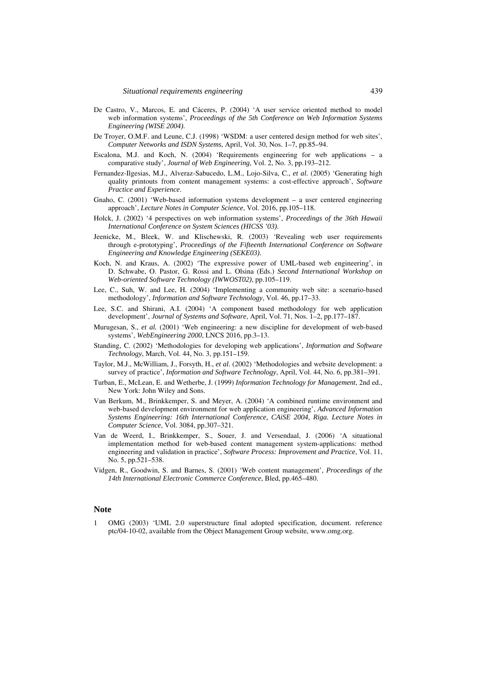- De Castro, V., Marcos, E. and Cáceres, P. (2004) 'A user service oriented method to model web information systems', *Proceedings of the 5th Conference on Web Information Systems Engineering (WISE 2004)*.
- De Troyer, O.M.F. and Leune, C.J. (1998) 'WSDM: a user centered design method for web sites', *Computer Networks and ISDN Systems*, April, Vol. 30, Nos. 1–7, pp.85–94.
- Escalona, M.J. and Koch, N. (2004) 'Requirements engineering for web applications a comparative study', *Journal of Web Engineering*, Vol. 2, No. 3, pp.193–212.
- Fernandez-Ilgesias, M.J., Alveraz-Sabucedo, L.M., Lojo-Silva, C., *et al.* (2005) 'Generating high quality printouts from content management systems: a cost-effective approach', *Software Practice and Experience*.
- Gnaho, C. (2001) 'Web-based information systems development a user centered engineering approach', *Lecture Notes in Computer Science*, Vol. 2016, pp.105–118.
- Holck, J. (2002) '4 perspectives on web information systems', *Proceedings of the 36th Hawaii International Conference on System Sciences (HICSS '03)*.
- Jeenicke, M., Bleek, W. and Klischewski, R. (2003) 'Revealing web user requirements through e-prototyping', *Proceedings of the Fifteenth International Conference on Software Engineering and Knowledge Engineering (SEKE03)*.
- Koch, N. and Kraus, A. (2002) 'The expressive power of UML-based web engineering', in D. Schwabe, O. Pastor, G. Rossi and L. Olsina (Eds.) *Second International Workshop on Web-oriented Software Technology (IWWOST02)*, pp.105–119.
- Lee, C., Suh, W. and Lee, H. (2004) 'Implementing a community web site: a scenario-based methodology', *Information and Software Technology*, Vol. 46, pp.17–33.
- Lee, S.C. and Shirani, A.I. (2004) 'A component based methodology for web application development', *Journal of Systems and Software*, April, Vol. 71, Nos. 1–2, pp.177–187.
- Murugesan, S., *et al.* (2001) 'Web engineering: a new discipline for development of web-based systems', *WebEngineering 2000*, LNCS 2016, pp.3–13.
- Standing, C. (2002) 'Methodologies for developing web applications', *Information and Software Technology*, March, Vol. 44, No. 3, pp.151–159.
- Taylor, M.J., McWilliam, J., Forsyth, H., *et al.* (2002) 'Methodologies and website development: a survey of practice', *Information and Software Technology*, April, Vol. 44, No. 6, pp.381–391.
- Turban, E., McLean, E. and Wetherbe, J. (1999) *Information Technology for Management*, 2nd ed., New York: John Wiley and Sons.
- Van Berkum, M., Brinkkemper, S. and Meyer, A. (2004) 'A combined runtime environment and web-based development environment for web application engineering', *Advanced Information Systems Engineering: 16th International Conference, CAiSE 2004, Riga. Lecture Notes in Computer Science*, Vol. 3084, pp.307–321.
- Van de Weerd, I., Brinkkemper, S., Souer, J. and Versendaal, J. (2006) 'A situational implementation method for web-based content management system-applications: method engineering and validation in practice', *Software Process: Improvement and Practice*, Vol. 11, No. 5, pp.521–538.
- Vidgen, R., Goodwin, S. and Barnes, S. (2001) 'Web content management', *Proceedings of the 14th International Electronic Commerce Conference*, Bled, pp.465–480.

## **Note**

1 OMG (2003) 'UML 2.0 superstructure final adopted specification, document. reference ptc/04-10-02, available from the Object Management Group website, www.omg.org.